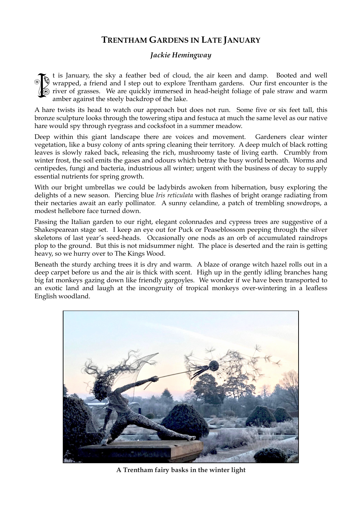## **TRENTHAM GARDENS IN LATE JANUARY**

## *Jackie Hemingway*

t is January, the sky a feather bed of cloud, the air keen and damp. Booted and well wrapped, a friend and I step out to explore Trentham gardens. Our first encounter is the  $\hat{\mathcal{O}}$  river of grasses. We are quickly immersed in head-height foliage of pale straw and warm amber against the steely backdrop of the lake. **ISSUE** 

A hare twists its head to watch our approach but does not run. Some five or six feet tall, this bronze sculpture looks through the towering stipa and festuca at much the same level as our native hare would spy through ryegrass and cocksfoot in a summer meadow.

Deep within this giant landscape there are voices and movement. Gardeners clear winter vegetation, like a busy colony of ants spring cleaning their territory. A deep mulch of black rotting leaves is slowly raked back, releasing the rich, mushroomy taste of living earth. Crumbly from winter frost, the soil emits the gases and odours which betray the busy world beneath. Worms and centipedes, fungi and bacteria, industrious all winter; urgent with the business of decay to supply essential nutrients for spring growth.

With our bright umbrellas we could be ladybirds awoken from hibernation, busy exploring the delights of a new season. Piercing blue *Iris reticulata* with flashes of bright orange radiating from their nectaries await an early pollinator. A sunny celandine, a patch of trembling snowdrops, a modest hellebore face turned down.

Passing the Italian garden to our right, elegant colonnades and cypress trees are suggestive of a Shakespearean stage set. I keep an eye out for Puck or Peaseblossom peeping through the silver skeletons of last year's seed-heads. Occasionally one nods as an orb of accumulated raindrops plop to the ground. But this is not midsummer night. The place is deserted and the rain is getting heavy, so we hurry over to The Kings Wood.

Beneath the sturdy arching trees it is dry and warm. A blaze of orange witch hazel rolls out in a deep carpet before us and the air is thick with scent. High up in the gently idling branches hang big fat monkeys gazing down like friendly gargoyles. We wonder if we have been transported to an exotic land and laugh at the incongruity of tropical monkeys over-wintering in a leafless English woodland.



**A Trentham fairy basks in the winter light**